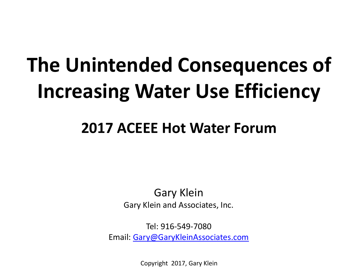# **The Unintended Consequences of Increasing Water Use Efficiency**

#### **2017 ACEEE Hot Water Forum**

Gary Klein Gary Klein and Associates, Inc.

Tel: 916-549-7080 Email: [Gary@GaryKleinAssociates.com](mailto:gary@aim4sustainability.com)

Copyright 2017, Gary Klein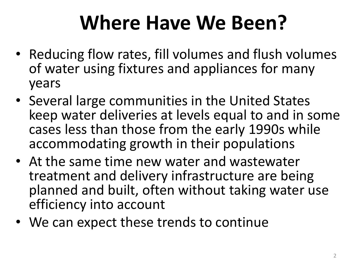### **Where Have We Been?**

- Reducing flow rates, fill volumes and flush volumes of water using fixtures and appliances for many years
- Several large communities in the United States keep water deliveries at levels equal to and in some cases less than those from the early 1990s while accommodating growth in their populations
- At the same time new water and wastewater treatment and delivery infrastructure are being planned and built, often without taking water use efficiency into account
- We can expect these trends to continue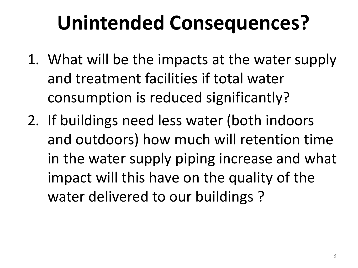## **Unintended Consequences?**

- 1. What will be the impacts at the water supply and treatment facilities if total water consumption is reduced significantly?
- 2. If buildings need less water (both indoors and outdoors) how much will retention time in the water supply piping increase and what impact will this have on the quality of the water delivered to our buildings ?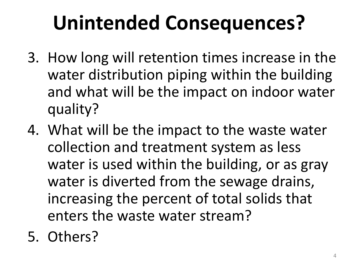# **Unintended Consequences?**

- 3. How long will retention times increase in the water distribution piping within the building and what will be the impact on indoor water quality?
- 4. What will be the impact to the waste water collection and treatment system as less water is used within the building, or as gray water is diverted from the sewage drains, increasing the percent of total solids that enters the waste water stream?
- 5. Others?